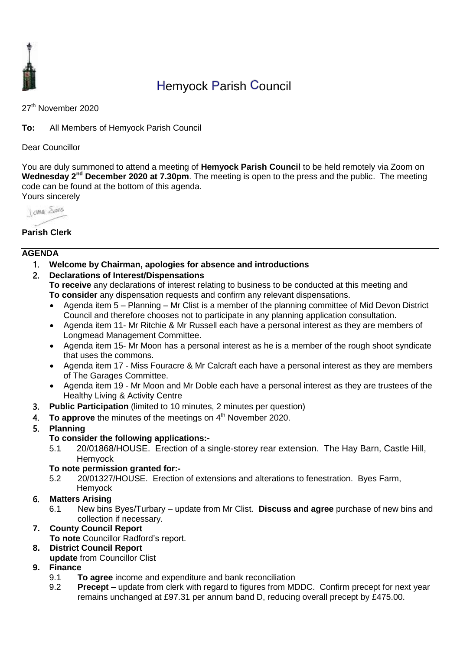

# Hemyock Parish Council

27<sup>th</sup> November 2020

**To:** All Members of Hemyock Parish Council

Dear Councillor

You are duly summoned to attend a meeting of **Hemyock Parish Council** to be held remotely via Zoom on Wednesday 2<sup>nd</sup> December 2020 at 7.30pm. The meeting is open to the press and the public. The meeting code can be found at the bottom of this agenda. Yours sincerely



# **Parish Clerk**

## **AGENDA**

- 1. **Welcome by Chairman, apologies for absence and introductions**
- 2. **Declarations of Interest/Dispensations**

**To receive** any declarations of interest relating to business to be conducted at this meeting and **To consider** any dispensation requests and confirm any relevant dispensations.

- Agenda item 5 Planning Mr Clist is a member of the planning committee of Mid Devon District Council and therefore chooses not to participate in any planning application consultation.
- Agenda item 11- Mr Ritchie & Mr Russell each have a personal interest as they are members of Longmead Management Committee.
- Agenda item 15- Mr Moon has a personal interest as he is a member of the rough shoot syndicate that uses the commons.
- Agenda item 17 Miss Fouracre & Mr Calcraft each have a personal interest as they are members of The Garages Committee.
- Agenda item 19 Mr Moon and Mr Doble each have a personal interest as they are trustees of the Healthy Living & Activity Centre
- 3. **Public Participation** (limited to 10 minutes, 2 minutes per question)
- 4. To approve the minutes of the meetings on 4<sup>th</sup> November 2020.

# 5. **Planning**

## **To consider the following applications:-**

5.1 20/01868/HOUSE. Erection of a single-storey rear extension. The Hay Barn, Castle Hill, Hemyock

## **To note permission granted for:-**

5.2 20/01327/HOUSE. Erection of extensions and alterations to fenestration. Byes Farm, **Hemvock** 

# 6. **Matters Arising**

6.1 New bins Byes/Turbary – update from Mr Clist. **Discuss and agree** purchase of new bins and collection if necessary.

# **7. County Council Report**

**To note** Councillor Radford's report.

# **8. District Council Report**

**update** from Councillor Clist

# **9. Finance**

- 9.1 **To agree** income and expenditure and bank reconciliation
- 9.2 **Precept –** update from clerk with regard to figures from MDDC. Confirm precept for next year remains unchanged at £97.31 per annum band D, reducing overall precept by £475.00.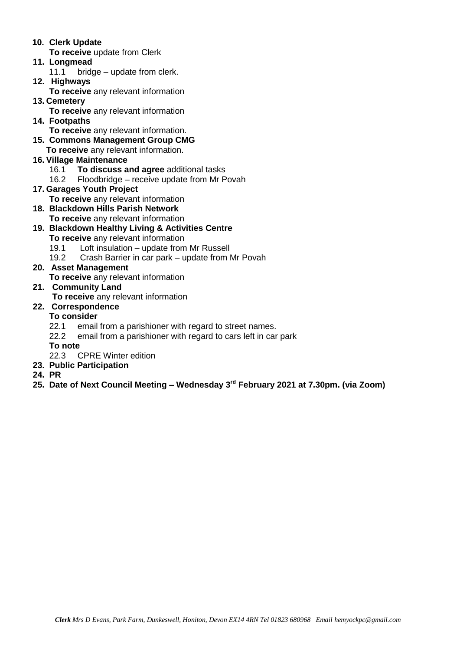- **10. Clerk Update**
- **To receive** update from Clerk
- **11. Longmead**
	- 11.1 bridge update from clerk.
- **12. Highways To receive** any relevant information
- **13. Cemetery** 
	- **To receive** any relevant information
- **14. Footpaths To receive** any relevant information. **15. Commons Management Group CMG**
- **To receive** any relevant information.
- **16. Village Maintenance**
	- 16.1 **To discuss and agree** additional tasks
	- 16.2 Floodbridge receive update from Mr Povah
- **17. Garages Youth Project** 
	- **To receive** any relevant information
- **18. Blackdown Hills Parish Network To receive** any relevant information
- **19. Blackdown Healthy Living & Activities Centre To receive** any relevant information
	- 19.1 Loft insulation update from Mr Russell
	- 19.2 Crash Barrier in car park update from Mr Povah
- **20. Asset Management** 
	- **To receive** any relevant information
- **21. Community Land**
	- **To receive** any relevant information
- **22. Correspondence**

# **To consider**

- 22.1 email from a parishioner with regard to street names.
- 22.2 email from a parishioner with regard to cars left in car park

**To note** 

- 22.3 CPRE Winter edition
- **23. Public Participation**
- **24. PR**
- **25. Date of Next Council Meeting – Wednesday 3 rd February 2021 at 7.30pm. (via Zoom)**